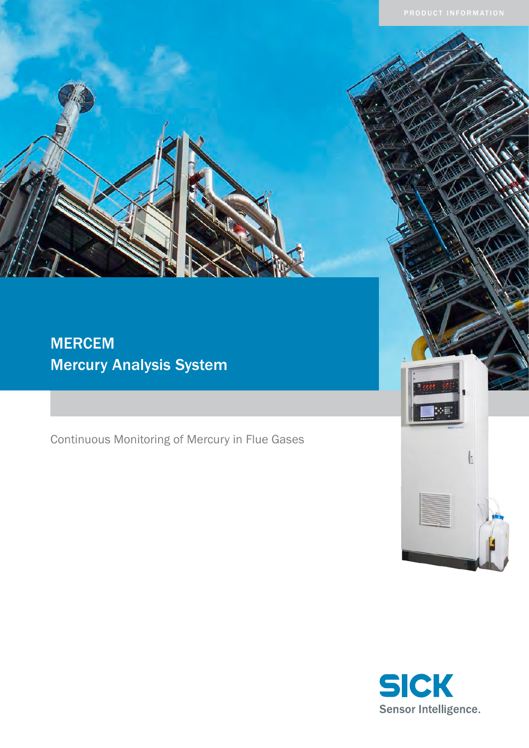# MERCEM Mercury Analysis System

Continuous Monitoring of Mercury in Flue Gases



Ŀ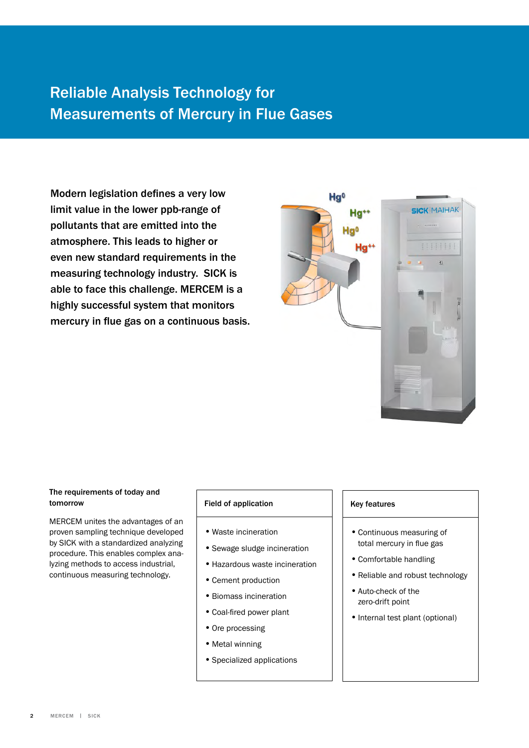## Reliable Analysis Technology for Measurements of Mercury in Flue Gases

Modern legislation defines a very low limit value in the lower ppb-range of pollutants that are emitted into the atmosphere. This leads to higher or even new standard requirements in the measuring technology industry. SICK is able to face this challenge. MERCEM is a highly successful system that monitors mercury in flue gas on a continuous basis.



### The requirements of today and tomorrow

MERCEM unites the advantages of an proven sampling technique developed by SICK with a standardized analyzing procedure. This enables complex analyzing methods to access industrial, continuous measuring technology.

### Field of application

- • Waste incineration
- Sewage sludge incineration
- Hazardous waste incineration
- Cement production
- • Biomass incineration
- • Coal-fired power plant
- Ore processing
- Metal winning
- • Specialized applications

### Key features

- • Continuous measuring of total mercury in flue gas
- • Comfortable handling
- Reliable and robust technology
- Auto-check of the zero-drift point
- Internal test plant (optional)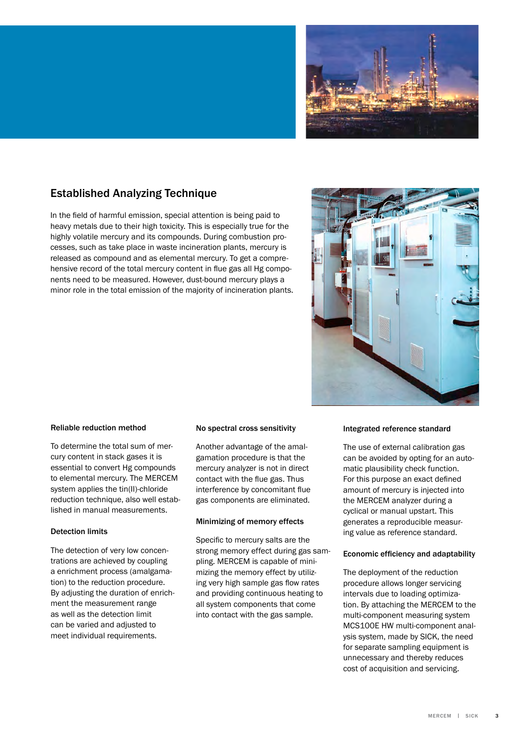

### Established Analyzing Technique

In the field of harmful emission, special attention is being paid to heavy metals due to their high toxicity. This is especially true for the highly volatile mercury and its compounds. During combustion processes, such as take place in waste incineration plants, mercury is released as compound and as elemental mercury. To get a comprehensive record of the total mercury content in flue gas all Hg components need to be measured. However, dust-bound mercury plays a minor role in the total emission of the majority of incineration plants.



### Reliable reduction method

To determine the total sum of mercury content in stack gases it is essential to convert Hg compounds to elemental mercury. The MERCEM system applies the tin(II)-chloride reduction technique, also well established in manual measurements.

### Detection limits

The detection of very low concentrations are achieved by coupling a enrichment process (amalgamation) to the reduction procedure. By adjusting the duration of enrichment the measurement range as well as the detection limit can be varied and adjusted to meet individual requirements.

### No spectral cross sensitivity

Another advantage of the amalgamation procedure is that the mercury analyzer is not in direct contact with the flue gas. Thus interference by concomitant flue gas components are eliminated.

### Minimizing of memory effects

Specific to mercury salts are the strong memory effect during gas sampling. MERCEM is capable of minimizing the memory effect by utilizing very high sample gas flow rates and providing continuous heating to all system components that come into contact with the gas sample.

### Integrated reference standard

The use of external calibration gas can be avoided by opting for an automatic plausibility check function. For this purpose an exact defined amount of mercury is injected into the MERCEM analyzer during a cyclical or manual upstart. This generates a reproducible measuring value as reference standard.

### Economic efficiency and adaptability

The deployment of the reduction procedure allows longer servicing intervals due to loading optimization. By attaching the MERCEM to the multi-component measuring system MCS100E HW multi-component analysis system, made by SICK, the need for separate sampling equipment is unnecessary and thereby reduces cost of acquisition and servicing.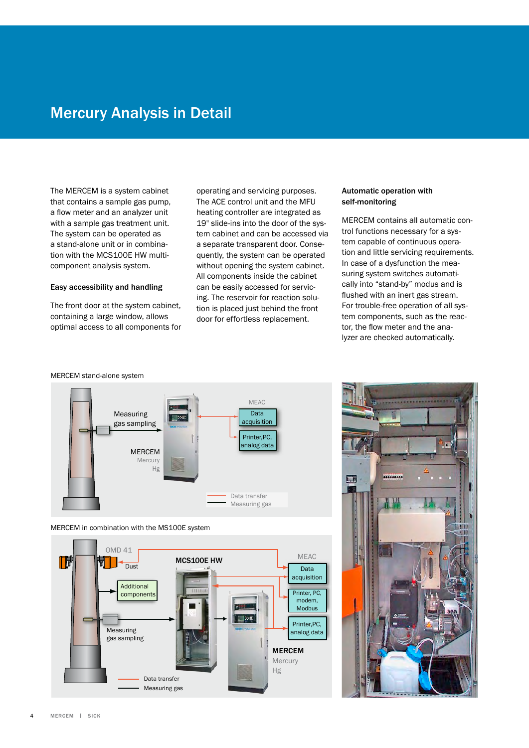## Mercury Analysis in Detail

The MERCEM is a system cabinet that contains a sample gas pump, a flow meter and an analyzer unit with a sample gas treatment unit. The system can be operated as a stand-alone unit or in combination with the MCS100E HW multicomponent analysis system.

### Easy accessibility and handling

The front door at the system cabinet, containing a large window, allows optimal access to all components for operating and servicing purposes. The ACE control unit and the MFU heating controller are integrated as 19" slide-ins into the door of the system cabinet and can be accessed via a separate transparent door. Consequently, the system can be operated without opening the system cabinet. All components inside the cabinet can be easily accessed for servicing. The reservoir for reaction solution is placed just behind the front door for effortless replacement.

### Automatic operation with self-monitoring

MERCEM contains all automatic control functions necessary for a system capable of continuous operation and little servicing requirements. In case of a dysfunction the measuring system switches automatically into "stand-by" modus and is flushed with an inert gas stream. For trouble-free operation of all system components, such as the reactor, the flow meter and the analyzer are checked automatically.

#### MERCEM stand-alone system



MERCEM in combination with the MS100E system



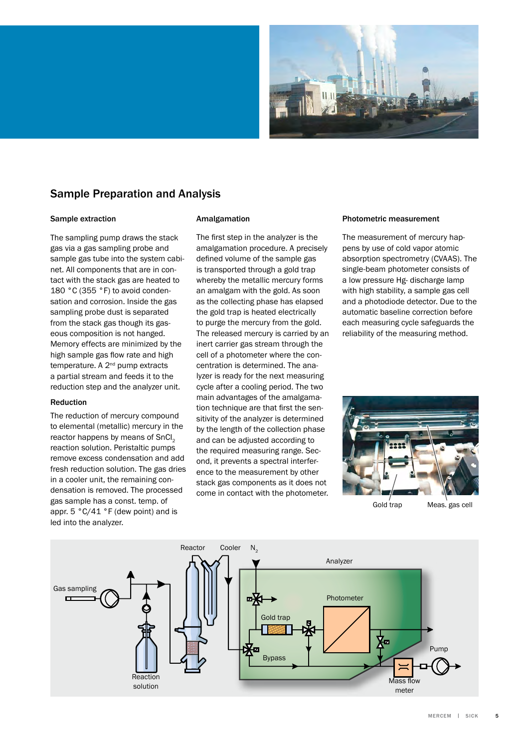

### Sample Preparation and Analysis

### Sample extraction

The sampling pump draws the stack gas via a gas sampling probe and sample gas tube into the system cabinet. All components that are in contact with the stack gas are heated to 180 °C (355 °F) to avoid condensation and corrosion. Inside the gas sampling probe dust is separated from the stack gas though its gaseous composition is not hanged. Memory effects are minimized by the high sample gas flow rate and high temperature. A 2<sup>nd</sup> pump extracts a partial stream and feeds it to the reduction step and the analyzer unit.

### Reduction

The reduction of mercury compound to elemental (metallic) mercury in the reactor happens by means of SnCI<sub>2</sub> reaction solution. Peristaltic pumps remove excess condensation and add fresh reduction solution. The gas dries in a cooler unit, the remaining condensation is removed. The processed gas sample has a const. temp. of appr. 5 °C/41 °F (dew point) and is led into the analyzer.

### Amalgamation

The first step in the analyzer is the amalgamation procedure. A precisely defined volume of the sample gas is transported through a gold trap whereby the metallic mercury forms an amalgam with the gold. As soon as the collecting phase has elapsed the gold trap is heated electrically to purge the mercury from the gold. The released mercury is carried by an inert carrier gas stream through the cell of a photometer where the concentration is determined. The analyzer is ready for the next measuring cycle after a cooling period. The two main advantages of the amalgamation technique are that first the sensitivity of the analyzer is determined by the length of the collection phase and can be adjusted according to the required measuring range. Second, it prevents a spectral interference to the measurement by other stack gas components as it does not come in contact with the photometer.

#### Photometric measurement

The measurement of mercury happens by use of cold vapor atomic absorption spectrometry (CVAAS). The single-beam photometer consists of a low pressure Hg- discharge lamp with high stability, a sample gas cell and a photodiode detector. Due to the automatic baseline correction before each measuring cycle safeguards the reliability of the measuring method.



Gold trap Meas. gas cell

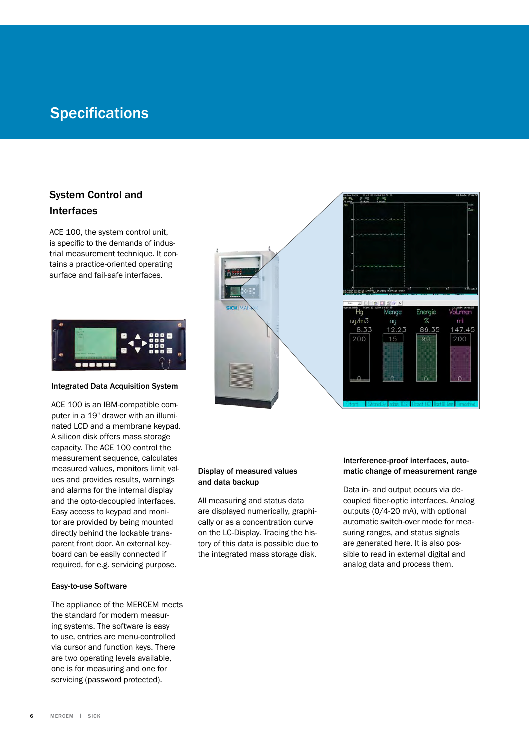## **Specifications**

### System Control and Interfaces

ACE 100, the system control unit, is specific to the demands of industrial measurement technique. It contains a practice-oriented operating surface and fail-safe interfaces.



### Integrated Data Acquisition System

ACE 100 is an IBM-compatible computer in a 19" drawer with an illuminated LCD and a membrane keypad. A silicon disk offers mass storage capacity. The ACE 100 control the measurement sequence, calculates measured values, monitors limit values and provides results, warnings and alarms for the internal display and the opto-decoupled interfaces. Easy access to keypad and monitor are provided by being mounted directly behind the lockable transparent front door. An external keyboard can be easily connected if required, for e.g. servicing purpose.

### Easy-to-use Software

The appliance of the MERCEM meets the standard for modern measuring systems. The software is easy to use, entries are menu-controlled via cursor and function keys. There are two operating levels available, one is for measuring and one for servicing (password protected).



### Display of measured values and data backup

All measuring and status data are displayed numerically, graphically or as a concentration curve on the LC-Display. Tracing the history of this data is possible due to the integrated mass storage disk.

### Interference-proof interfaces, automatic change of measurement range

Data in- and output occurs via decoupled fiber-optic interfaces. Analog outputs (0/4-20 mA), with optional automatic switch-over mode for measuring ranges, and status signals are generated here. It is also possible to read in external digital and analog data and process them.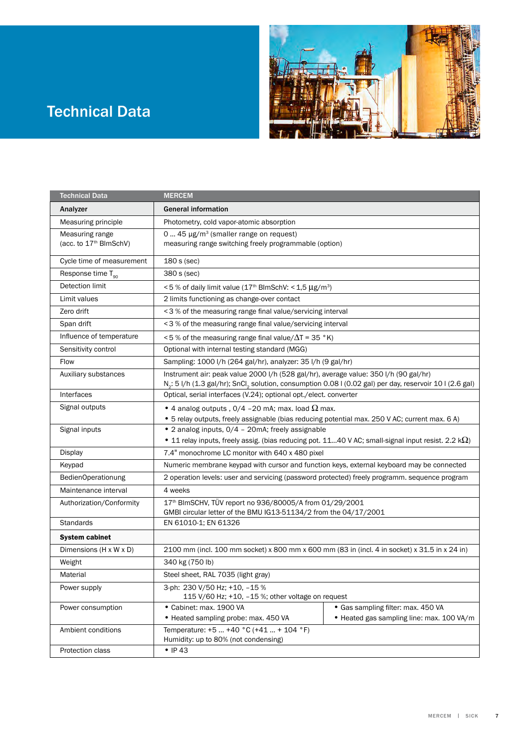# Technical Data



| <b>Technical Data</b>              | <b>MERCEM</b>                                                                                                                                      |                                           |
|------------------------------------|----------------------------------------------------------------------------------------------------------------------------------------------------|-------------------------------------------|
| Analyzer                           | <b>General information</b>                                                                                                                         |                                           |
| Measuring principle                | Photometry, cold vapor-atomic absorption                                                                                                           |                                           |
| Measuring range                    | 0  45 µg/m <sup>3</sup> (smaller range on request)                                                                                                 |                                           |
| (acc. to 17 <sup>th</sup> BlmSchV) | measuring range switching freely programmable (option)                                                                                             |                                           |
| Cycle time of measurement          | $180 s$ (sec)                                                                                                                                      |                                           |
| Response time $T_{\alpha}$         | 380 s (sec)                                                                                                                                        |                                           |
| Detection limit                    | <5 % of daily limit value (17 <sup>th</sup> BlmSchV: < 1,5 µg/m <sup>3</sup> )                                                                     |                                           |
| Limit values                       | 2 limits functioning as change-over contact                                                                                                        |                                           |
| Zero drift                         | <3 % of the measuring range final value/servicing interval                                                                                         |                                           |
| Span drift                         | <3 % of the measuring range final value/servicing interval                                                                                         |                                           |
| Influence of temperature           | $\leq$ 5 % of the measuring range final value/ $\Delta$ T = 35 °K)                                                                                 |                                           |
| Sensitivity control                | Optional with internal testing standard (MGG)                                                                                                      |                                           |
| Flow                               | Sampling: 1000 l/h (264 gal/hr), analyzer: 35 l/h (9 gal/hr)                                                                                       |                                           |
| Auxiliary substances               | Instrument air: peak value 2000 I/h (528 gal/hr), average value: 350 I/h (90 gal/hr)                                                               |                                           |
|                                    | N <sub>2</sub> : 5 l/h (1.3 gal/hr); SnCl <sub>2</sub> solution, consumption 0.08 l (0.02 gal) per day, reservoir 10 l (2.6 gal)                   |                                           |
| Interfaces                         | Optical, serial interfaces (V.24); optional opt./elect. converter                                                                                  |                                           |
| Signal outputs                     | • 4 analog outputs , 0/4 -20 mA; max. load $\Omega$ max.                                                                                           |                                           |
| Signal inputs                      | • 5 relay outputs, freely assignable (bias reducing potential max. 250 V AC; current max. 6 A)<br>• 2 analog inputs, 0/4 - 20mA; freely assignable |                                           |
|                                    | • 11 relay inputs, freely assig. (bias reducing pot. 1140 V AC; small-signal input resist. 2.2 k $\Omega$ )                                        |                                           |
| <b>Display</b>                     | 7.4" monochrome LC monitor with 640 x 480 pixel                                                                                                    |                                           |
| Keypad                             | Numeric membrane keypad with cursor and function keys, external keyboard may be connected                                                          |                                           |
| BedienOperationung                 | 2 operation levels: user and servicing (password protected) freely programm. sequence program                                                      |                                           |
| Maintenance interval               | 4 weeks                                                                                                                                            |                                           |
| Authorization/Conformity           | 17th BImSCHV, TÜV report no 936/80005/A from 01/29/2001                                                                                            |                                           |
|                                    | GMBI circular letter of the BMU IG13-51134/2 from the 04/17/2001                                                                                   |                                           |
| <b>Standards</b>                   | EN 61010-1; EN 61326                                                                                                                               |                                           |
| <b>System cabinet</b>              |                                                                                                                                                    |                                           |
| Dimensions (H x W x D)             | 2100 mm (incl. 100 mm socket) x 800 mm x 600 mm (83 in (incl. 4 in socket) x 31.5 in x 24 in)                                                      |                                           |
| Weight                             | 340 kg (750 lb)                                                                                                                                    |                                           |
| Material                           | Steel sheet, RAL 7035 (light gray)                                                                                                                 |                                           |
| Power supply                       | 3-ph: 230 V/50 Hz; +10, -15 %                                                                                                                      |                                           |
|                                    | 115 V/60 Hz; +10, -15 %; other voltage on request                                                                                                  |                                           |
| Power consumption                  | • Cabinet: max. 1900 VA                                                                                                                            | • Gas sampling filter: max. 450 VA        |
|                                    | • Heated sampling probe: max. 450 VA                                                                                                               | • Heated gas sampling line: max. 100 VA/m |
| Ambient conditions                 | Temperature: +5  +40 °C (+41  + 104 °F)<br>Humidity: up to 80% (not condensing)                                                                    |                                           |
| Protection class                   | $\bullet$ IP 43                                                                                                                                    |                                           |